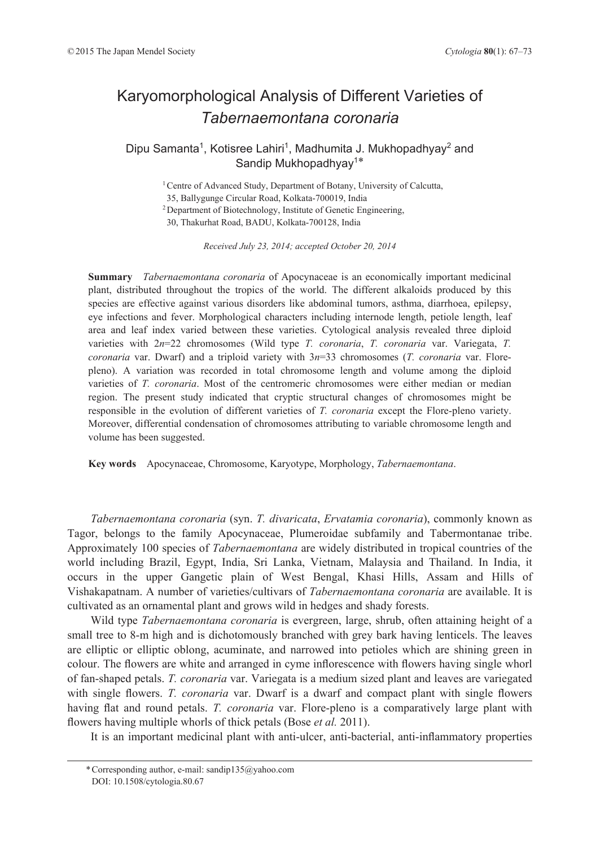# Karyomorphological Analysis of Different Varieties of *Tabernaemontana coronaria*

# Dipu Samanta<sup>1</sup>, Kotisree Lahiri<sup>1</sup>, Madhumita J. Mukhopadhyay<sup>2</sup> and Sandip Mukhopadhyay<sup>1\*</sup>

<sup>1</sup> Centre of Advanced Study, Department of Botany, University of Calcutta, 35, Ballygunge Circular Road, Kolkata-700019, India <sup>2</sup> Department of Biotechnology, Institute of Genetic Engineering, 30, Thakurhat Road, BADU, Kolkata-700128, India

*Received July 23, 2014; accepted October 20, 2014*

**Summary** *Tabernaemontana coronaria* of Apocynaceae is an economically important medicinal plant, distributed throughout the tropics of the world. The different alkaloids produced by this species are effective against various disorders like abdominal tumors, asthma, diarrhoea, epilepsy, eye infections and fever. Morphological characters including internode length, petiole length, leaf area and leaf index varied between these varieties. Cytological analysis revealed three diploid varieties with 2*n*=22 chromosomes (Wild type *T. coronaria*, *T. coronaria* var. Variegata, *T. coronaria* var. Dwarf) and a triploid variety with 3*n*=33 chromosomes (*T. coronaria* var. Florepleno). A variation was recorded in total chromosome length and volume among the diploid varieties of *T. coronaria*. Most of the centromeric chromosomes were either median or median region. The present study indicated that cryptic structural changes of chromosomes might be responsible in the evolution of different varieties of *T. coronaria* except the Flore-pleno variety. Moreover, differential condensation of chromosomes attributing to variable chromosome length and volume has been suggested.

**Key words** Apocynaceae, Chromosome, Karyotype, Morphology, *Tabernaemontana*.

*Tabernaemontana coronaria* (syn. *T. divaricata*, *Ervatamia coronaria*), commonly known as Tagor, belongs to the family Apocynaceae, Plumeroidae subfamily and Tabermontanae tribe. Approximately 100 species of *Tabernaemontana* are widely distributed in tropical countries of the world including Brazil, Egypt, India, Sri Lanka, Vietnam, Malaysia and Thailand. In India, it occurs in the upper Gangetic plain of West Bengal, Khasi Hills, Assam and Hills of Vishakapatnam. A number of varieties/cultivars of *Tabernaemontana coronaria* are available. It is cultivated as an ornamental plant and grows wild in hedges and shady forests.

Wild type *Tabernaemontana coronaria* is evergreen, large, shrub, often attaining height of a small tree to 8-m high and is dichotomously branched with grey bark having lenticels. The leaves are elliptic or elliptic oblong, acuminate, and narrowed into petioles which are shining green in colour. The flowers are white and arranged in cyme inflorescence with flowers having single whorl of fan-shaped petals. *T. coronaria* var. Variegata is a medium sized plant and leaves are variegated with single flowers. *T. coronaria* var. Dwarf is a dwarf and compact plant with single flowers having flat and round petals. *T. coronaria* var. Flore-pleno is a comparatively large plant with flowers having multiple whorls of thick petals (Bose *et al.* 2011).

It is an important medicinal plant with anti-ulcer, anti-bacterial, anti-inflammatory properties

<sup>\*</sup> Corresponding author, e-mail: sandip135@yahoo.com DOI: 10.1508/cytologia.80.67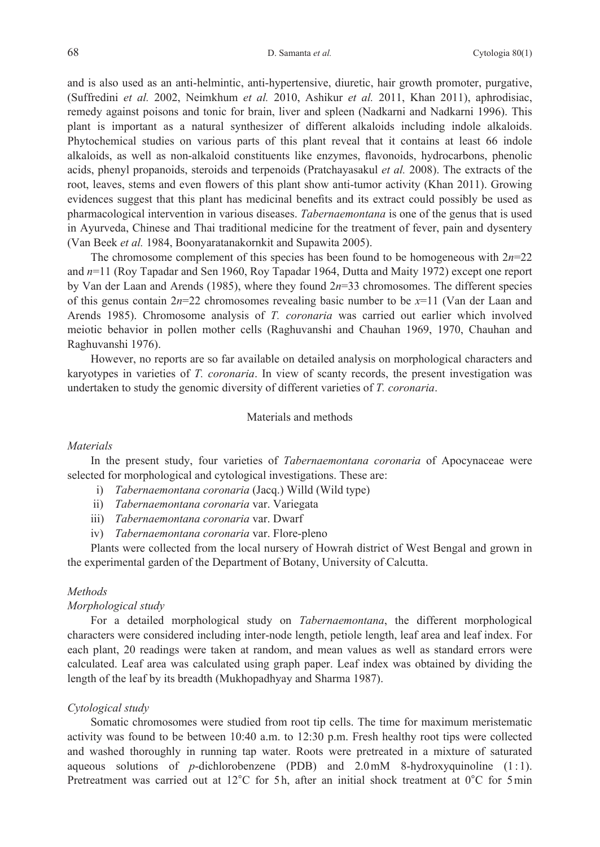and is also used as an anti-helmintic, anti-hypertensive, diuretic, hair growth promoter, purgative, (Suffredini *et al.* 2002, Neimkhum *et al.* 2010, Ashikur *et al.* 2011, Khan 2011), aphrodisiac, remedy against poisons and tonic for brain, liver and spleen (Nadkarni and Nadkarni 1996). This plant is important as a natural synthesizer of different alkaloids including indole alkaloids. Phytochemical studies on various parts of this plant reveal that it contains at least 66 indole alkaloids, as well as non-alkaloid constituents like enzymes, flavonoids, hydrocarbons, phenolic acids, phenyl propanoids, steroids and terpenoids (Pratchayasakul *et al.* 2008). The extracts of the root, leaves, stems and even flowers of this plant show anti-tumor activity (Khan 2011). Growing evidences suggest that this plant has medicinal benefits and its extract could possibly be used as pharmacological intervention in various diseases. *Tabernaemontana* is one of the genus that is used in Ayurveda, Chinese and Thai traditional medicine for the treatment of fever, pain and dysentery (Van Beek *et al.* 1984, Boonyaratanakornkit and Supawita 2005).

The chromosome complement of this species has been found to be homogeneous with 2*n*=22 and *n*=11 (Roy Tapadar and Sen 1960, Roy Tapadar 1964, Dutta and Maity 1972) except one report by Van der Laan and Arends (1985), where they found 2*n*=33 chromosomes. The different species of this genus contain 2*n*=22 chromosomes revealing basic number to be *x*=11 (Van der Laan and Arends 1985). Chromosome analysis of *T. coronaria* was carried out earlier which involved meiotic behavior in pollen mother cells (Raghuvanshi and Chauhan 1969, 1970, Chauhan and Raghuvanshi 1976).

However, no reports are so far available on detailed analysis on morphological characters and karyotypes in varieties of *T. coronaria*. In view of scanty records, the present investigation was undertaken to study the genomic diversity of different varieties of *T. coronaria*.

### Materials and methods

#### *Materials*

In the present study, four varieties of *Tabernaemontana coronaria* of Apocynaceae were selected for morphological and cytological investigations. These are:

- i) *Tabernaemontana coronaria* (Jacq.) Willd (Wild type)
- ii) *Tabernaemontana coronaria* var. Variegata
- iii) *Tabernaemontana coronaria* var. Dwarf
- iv) *Tabernaemontana coronaria* var. Flore-pleno

Plants were collected from the local nursery of Howrah district of West Bengal and grown in the experimental garden of the Department of Botany, University of Calcutta.

#### *Methods*

# *Morphological study*

For a detailed morphological study on *Tabernaemontana*, the different morphological characters were considered including inter-node length, petiole length, leaf area and leaf index. For each plant, 20 readings were taken at random, and mean values as well as standard errors were calculated. Leaf area was calculated using graph paper. Leaf index was obtained by dividing the length of the leaf by its breadth (Mukhopadhyay and Sharma 1987).

#### *Cytological study*

Somatic chromosomes were studied from root tip cells. The time for maximum meristematic activity was found to be between 10:40 a.m. to 12:30 p.m. Fresh healthy root tips were collected and washed thoroughly in running tap water. Roots were pretreated in a mixture of saturated aqueous solutions of  $p$ -dichlorobenzene (PDB) and  $2.0 \text{ mM}$  8-hydroxyquinoline (1:1). Pretreatment was carried out at 12 $^{\circ}$ C for 5h, after an initial shock treatment at 0 $^{\circ}$ C for 5 min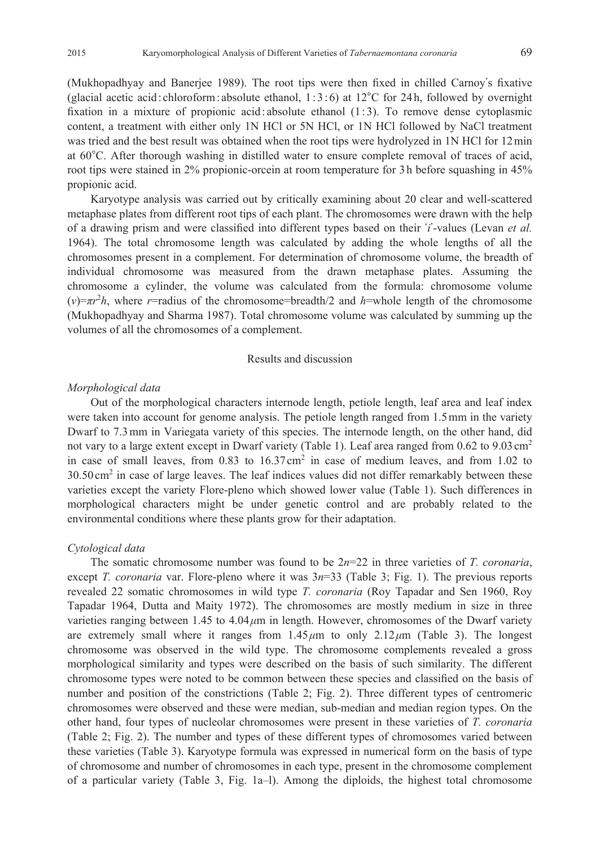(Mukhopadhyay and Banerjee 1989). The root tips were then fixed in chilled Carnoy's fixative (glacial acetic acid : chloroform : absolute ethanol,  $1:3:6$ ) at  $12^{\circ}$ C for 24h, followed by overnight fixation in a mixture of propionic acid absolute ethanol  $(1:3)$ . To remove dense cytoplasmic content, a treatment with either only 1N HCl or 5N HCl, or 1N HCl followed by NaCl treatment was tried and the best result was obtained when the root tips were hydrolyzed in 1N HCl for 12 min at 60°C. After thorough washing in distilled water to ensure complete removal of traces of acid, root tips were stained in 2% propionic-orcein at room temperature for 3 h before squashing in 45% propionic acid.

Karyotype analysis was carried out by critically examining about 20 clear and well-scattered metaphase plates from different root tips of each plant. The chromosomes were drawn with the help of a drawing prism and were classified into different types based on their ʻ*i*'-values (Levan *et al.* 1964). The total chromosome length was calculated by adding the whole lengths of all the chromosomes present in a complement. For determination of chromosome volume, the breadth of individual chromosome was measured from the drawn metaphase plates. Assuming the chromosome a cylinder, the volume was calculated from the formula: chromosome volume  $(v) = \pi r^2 h$ , where *r*=radius of the chromosome=breadth/2 and *h*=whole length of the chromosome (Mukhopadhyay and Sharma 1987). Total chromosome volume was calculated by summing up the volumes of all the chromosomes of a complement.

### Results and discussion

# *Morphological data*

Out of the morphological characters internode length, petiole length, leaf area and leaf index were taken into account for genome analysis. The petiole length ranged from 1.5 mm in the variety Dwarf to 7.3 mm in Variegata variety of this species. The internode length, on the other hand, did not vary to a large extent except in Dwarf variety (Table 1). Leaf area ranged from 0.62 to 9.03 cm<sup>2</sup> in case of small leaves, from  $0.83$  to  $16.37 \text{ cm}^2$  in case of medium leaves, and from  $1.02$  to  $30.50 \text{ cm}^2$  in case of large leaves. The leaf indices values did not differ remarkably between these varieties except the variety Flore-pleno which showed lower value (Table 1). Such differences in morphological characters might be under genetic control and are probably related to the environmental conditions where these plants grow for their adaptation.

# *Cytological data*

The somatic chromosome number was found to be 2*n*=22 in three varieties of *T. coronaria*, except *T. coronaria* var. Flore-pleno where it was 3*n*=33 (Table 3; Fig. 1). The previous reports revealed 22 somatic chromosomes in wild type *T. coronaria* (Roy Tapadar and Sen 1960, Roy Tapadar 1964, Dutta and Maity 1972). The chromosomes are mostly medium in size in three varieties ranging between 1.45 to 4.04 *μ*m in length. However, chromosomes of the Dwarf variety are extremely small where it ranges from  $1.45 \mu m$  to only  $2.12 \mu m$  (Table 3). The longest chromosome was observed in the wild type. The chromosome complements revealed a gross morphological similarity and types were described on the basis of such similarity. The different chromosome types were noted to be common between these species and classified on the basis of number and position of the constrictions (Table 2; Fig. 2). Three different types of centromeric chromosomes were observed and these were median, sub-median and median region types. On the other hand, four types of nucleolar chromosomes were present in these varieties of *T. coronaria* (Table 2; Fig. 2). The number and types of these different types of chromosomes varied between these varieties (Table 3). Karyotype formula was expressed in numerical form on the basis of type of chromosome and number of chromosomes in each type, present in the chromosome complement of a particular variety (Table 3, Fig. 1a–l). Among the diploids, the highest total chromosome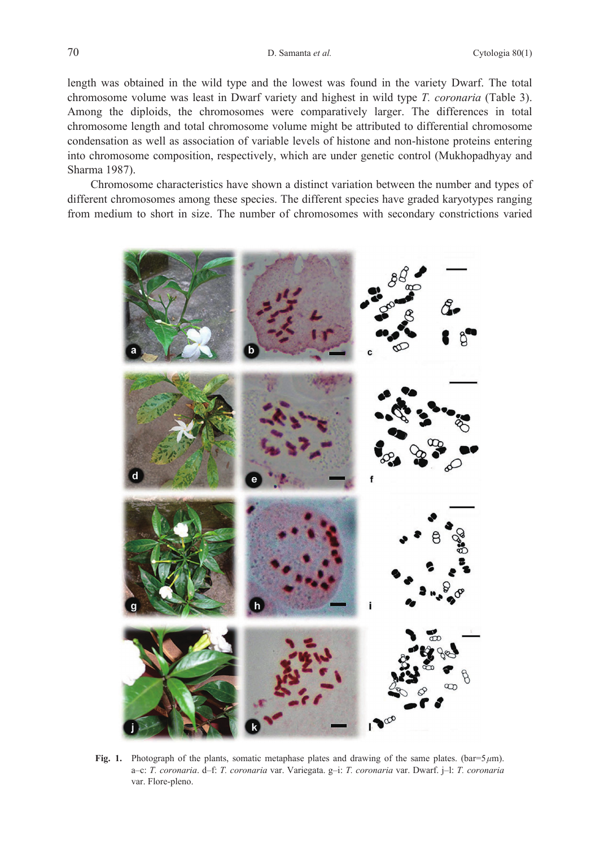length was obtained in the wild type and the lowest was found in the variety Dwarf. The total chromosome volume was least in Dwarf variety and highest in wild type *T. coronaria* (Table 3). Among the diploids, the chromosomes were comparatively larger. The differences in total chromosome length and total chromosome volume might be attributed to differential chromosome condensation as well as association of variable levels of histone and non-histone proteins entering into chromosome composition, respectively, which are under genetic control (Mukhopadhyay and Sharma 1987).

Chromosome characteristics have shown a distinct variation between the number and types of different chromosomes among these species. The different species have graded karyotypes ranging from medium to short in size. The number of chromosomes with secondary constrictions varied



**Fig. 1.** Photograph of the plants, somatic metaphase plates and drawing of the same plates. (bar=5 $\mu$ m). a–c: *T. coronaria*. d–f: *T. coronaria* var. Variegata. g–i: *T. coronaria* var. Dwarf. j–l: *T. coronaria* var. Flore-pleno.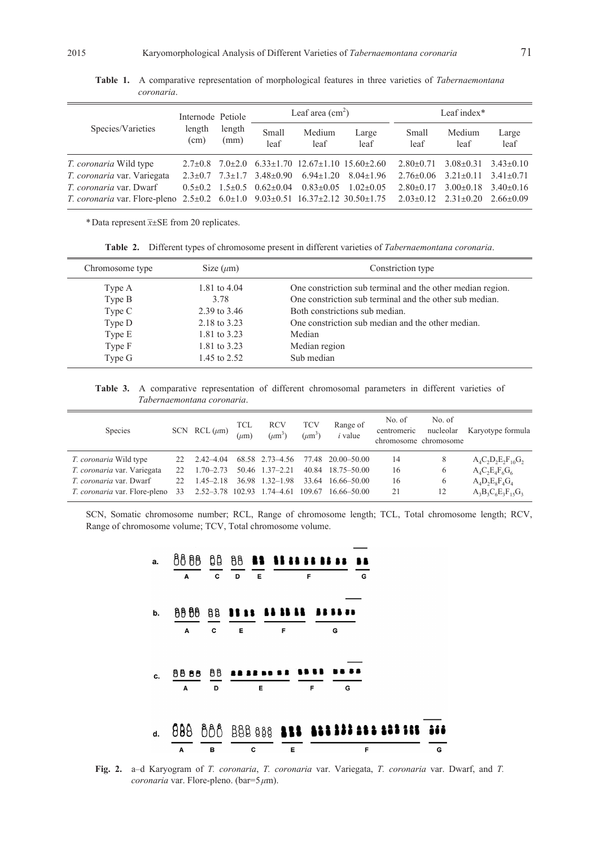| Species/Varieties                                                                                           | Internode Petiole<br>length<br>(cm) | length<br>(mm) |               | Leaf area $\text{cm}^2$ )                           |                                                                     | Leaf index $*$  |                 |                 |  |
|-------------------------------------------------------------------------------------------------------------|-------------------------------------|----------------|---------------|-----------------------------------------------------|---------------------------------------------------------------------|-----------------|-----------------|-----------------|--|
|                                                                                                             |                                     |                | Small<br>leaf | Medium<br>leaf                                      | Large<br>leaf                                                       | Small<br>leaf   | Medium<br>leaf  | Large<br>leaf   |  |
| <i>T. coronaria</i> Wild type                                                                               |                                     |                |               |                                                     | $2.7\pm0.8$ $7.0\pm2.0$ $6.33\pm1.70$ $12.67\pm1.10$ $15.60\pm2.60$ | $2.80 \pm 0.71$ | $3.08 \pm 0.31$ | $3.43\pm0.10$   |  |
| T. coronaria var. Variegata                                                                                 |                                     |                |               | $2.3\pm0.7$ $7.3\pm1.7$ $3.48\pm0.90$ $6.94\pm1.20$ | $8.04 \pm 1.96$                                                     | $2.76 \pm 0.06$ | $3.21 \pm 0.11$ | $3.41 \pm 0.71$ |  |
| <i>T. coronaria</i> var. Dwarf                                                                              |                                     |                |               | $0.5\pm0.2$ $1.5\pm0.5$ $0.62\pm0.04$ $0.83\pm0.05$ | $1.02 \pm 0.05$                                                     | $2.80\pm0.17$   | $3.00 \pm 0.18$ | $3.40\pm0.16$   |  |
| T. coronaria var. Flore-pleno 2.5±0.2 6.0±1.0 9.03±0.51 16.37±2.12 30.50±1.75 2.03±0.12 2.31±0.20 2.66±0.09 |                                     |                |               |                                                     |                                                                     |                 |                 |                 |  |

**Table 1.** A comparative representation of morphological features in three varieties of *Tabernaemontana coronaria*.

\* Data represent ¯*x*±SE from 20 replicates.

**Table 2.** Different types of chromosome present in different varieties of *Tabernaemontana coronaria*.

| Chromosome type | Size $(\mu m)$ | Constriction type                                          |  |  |  |  |
|-----------------|----------------|------------------------------------------------------------|--|--|--|--|
| Type A          | 1.81 to 4.04   | One constriction sub terminal and the other median region. |  |  |  |  |
| Type B          | 3.78           | One constriction sub terminal and the other sub median.    |  |  |  |  |
| Type C          | 2.39 to 3.46   | Both constrictions sub median.                             |  |  |  |  |
| Type D          | 2.18 to 3.23   | One constriction sub median and the other median.          |  |  |  |  |
| Type E          | 1.81 to 3.23   | Median                                                     |  |  |  |  |
| Type F          | 1.81 to 3.23   | Median region                                              |  |  |  |  |
| Type G          | 1.45 to 2.52   | Sub median                                                 |  |  |  |  |

**Table 3.** A comparative representation of different chromosomal parameters in different varieties of *Tabernaemontana coronaria*.

| Species                              |              | SCN RCL $(\mu m)$                 | TCL<br>$(\mu m)$ | <b>RCV</b><br>$(\mu m^3)$ | <b>TCV</b><br>$(\mu m^3)$ | Range of<br>$i$ value | No. of<br>centromeric | No. of<br>nucleolar<br>chromosome chromosome | Karyotype formula       |
|--------------------------------------|--------------|-----------------------------------|------------------|---------------------------|---------------------------|-----------------------|-----------------------|----------------------------------------------|-------------------------|
| <i>T. coronaria</i> Wild type        | 22.          | $2.42 - 4.04$                     |                  | 68.58 2.73 - 4.56         |                           | 77.48 20.00 - 50.00   | 14                    | 8                                            | $A_4C_2D_2E_2F_{10}G_2$ |
| T. coronaria var. Variegata          | $22^{\circ}$ | $1.70 - 2.73$                     |                  | $50.46$ 1.37-2.21         | 40.84                     | 18.75–50.00           | 16                    | $\circ$                                      | $A_4C_2E_4F_6G_6$       |
| <i>T. coronaria</i> var. Dwarf       | $22^{\circ}$ | $1.45 - 2.18$                     |                  | 36.98 1.32-1.98           | 33.64                     | 16.66–50.00           | 16                    | 6                                            | $A_4D_2E_8F_4G_4$       |
| <i>T. coronaria</i> var. Flore-pleno | 33           | 2.52-3.78 102.93 1.74-4.61 109.67 |                  |                           |                           | 16.66–50.00           | 21                    | 12                                           | $A_3B_3C_6E_3F_{15}G_3$ |

SCN, Somatic chromosome number; RCL, Range of chromosome length; TCL, Total chromosome length; RCV, Range of chromosome volume; TCV, Total chromosome volume.



**Fig. 2.** a–d Karyogram of *T. coronaria*, *T. coronaria* var. Variegata, *T. coronaria* var. Dwarf, and *T. coronaria* var. Flore-pleno. (bar=5 *μ*m).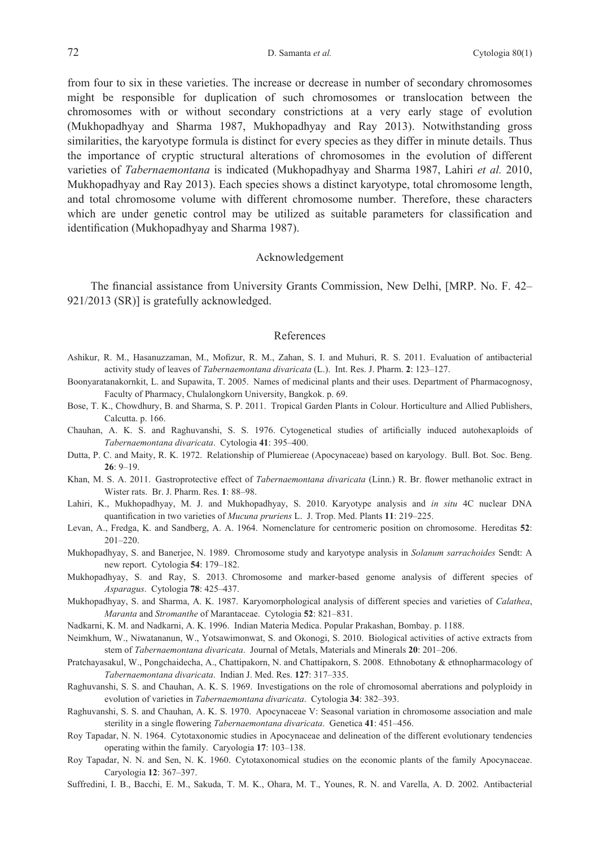from four to six in these varieties. The increase or decrease in number of secondary chromosomes might be responsible for duplication of such chromosomes or translocation between the chromosomes with or without secondary constrictions at a very early stage of evolution (Mukhopadhyay and Sharma 1987, Mukhopadhyay and Ray 2013). Notwithstanding gross similarities, the karyotype formula is distinct for every species as they differ in minute details. Thus the importance of cryptic structural alterations of chromosomes in the evolution of different varieties of *Tabernaemontana* is indicated (Mukhopadhyay and Sharma 1987, Lahiri *et al.* 2010, Mukhopadhyay and Ray 2013). Each species shows a distinct karyotype, total chromosome length, and total chromosome volume with different chromosome number. Therefore, these characters which are under genetic control may be utilized as suitable parameters for classification and identification (Mukhopadhyay and Sharma 1987).

# Acknowledgement

The financial assistance from University Grants Commission, New Delhi, [MRP. No. F. 42– 921/2013 (SR)] is gratefully acknowledged.

#### References

- Ashikur, R. M., Hasanuzzaman, M., Mofizur, R. M., Zahan, S. I. and Muhuri, R. S. 2011. Evaluation of antibacterial activity study of leaves of *Tabernaemontana divaricata* (L.). Int. Res. J. Pharm. **2**: 123–127.
- Boonyaratanakornkit, L. and Supawita, T. 2005. Names of medicinal plants and their uses. Department of Pharmacognosy, Faculty of Pharmacy, Chulalongkorn University, Bangkok. p. 69.
- Bose, T. K., Chowdhury, B. and Sharma, S. P. 2011. Tropical Garden Plants in Colour. Horticulture and Allied Publishers, Calcutta. p. 166.
- Chauhan, A. K. S. and Raghuvanshi, S. S. 1976. Cytogenetical studies of artificially induced autohexaploids of *Tabernaemontana divaricata*. Cytologia **41**: 395–400.
- Dutta, P. C. and Maity, R. K. 1972. Relationship of Plumiereae (Apocynaceae) based on karyology. Bull. Bot. Soc. Beng. **26**: 9–19.
- Khan, M. S. A. 2011. Gastroprotective effect of *Tabernaemontana divaricata* (Linn.) R. Br. flower methanolic extract in Wister rats. Br. J. Pharm. Res. **1**: 88–98.
- Lahiri, K., Mukhopadhyay, M. J. and Mukhopadhyay, S. 2010. Karyotype analysis and *in situ* 4C nuclear DNA quantification in two varieties of *Mucuna pruriens* L. J. Trop. Med. Plants **11**: 219–225.
- Levan, A., Fredga, K. and Sandberg, A. A. 1964. Nomenclature for centromeric position on chromosome. Hereditas **52**: 201–220.
- Mukhopadhyay, S. and Banerjee, N. 1989. Chromosome study and karyotype analysis in *Solanum sarrachoides* Sendt: A new report. Cytologia **54**: 179–182.
- Mukhopadhyay, S. and Ray, S. 2013. Chromosome and marker-based genome analysis of different species of *Asparagus*. Cytologia **78**: 425–437.
- Mukhopadhyay, S. and Sharma, A. K. 1987. Karyomorphological analysis of different species and varieties of *Calathea*, *Maranta* and *Stromanthe* of Marantaceae. Cytologia **52**: 821–831.
- Nadkarni, K. M. and Nadkarni, A. K. 1996. Indian Materia Medica. Popular Prakashan, Bombay. p. 1188.
- Neimkhum, W., Niwatananun, W., Yotsawimonwat, S. and Okonogi, S. 2010. Biological activities of active extracts from stem of *Tabernaemontana divaricata*. Journal of Metals, Materials and Minerals **20**: 201–206.
- Pratchayasakul, W., Pongchaidecha, A., Chattipakorn, N. and Chattipakorn, S. 2008. Ethnobotany & ethnopharmacology of *Tabernaemontana divaricata*. Indian J. Med. Res. **127**: 317–335.
- Raghuvanshi, S. S. and Chauhan, A. K. S. 1969. Investigations on the role of chromosomal aberrations and polyploidy in evolution of varieties in *Tabernaemontana divaricata*. Cytologia **34**: 382–393.
- Raghuvanshi, S. S. and Chauhan, A. K. S. 1970. Apocynaceae V: Seasonal variation in chromosome association and male sterility in a single flowering *Tabernaemontana divaricata*. Genetica **41**: 451–456.
- Roy Tapadar, N. N. 1964. Cytotaxonomic studies in Apocynaceae and delineation of the different evolutionary tendencies operating within the family. Caryologia **17**: 103–138.
- Roy Tapadar, N. N. and Sen, N. K. 1960. Cytotaxonomical studies on the economic plants of the family Apocynaceae. Caryologia **12**: 367–397.
- Suffredini, I. B., Bacchi, E. M., Sakuda, T. M. K., Ohara, M. T., Younes, R. N. and Varella, A. D. 2002. Antibacterial